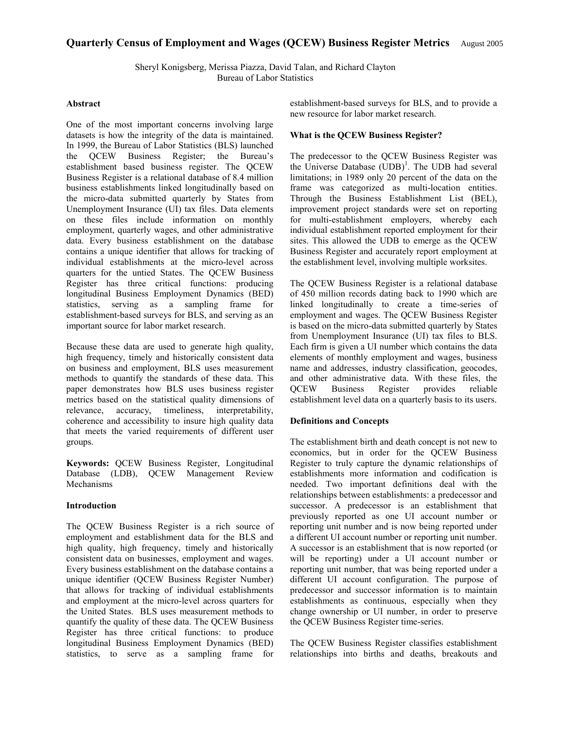# **Quarterly Census of Employment and Wages (QCEW) Business Register Metrics** August 2005

Sheryl Konigsberg, Merissa Piazza, David Talan, and Richard Clayton Bureau of Labor Statistics

#### **Abstract**

One of the most important concerns involving large datasets is how the integrity of the data is maintained. In 1999, the Bureau of Labor Statistics (BLS) launched the QCEW Business Register; the Bureau's establishment based business register. The QCEW Business Register is a relational database of 8.4 million business establishments linked longitudinally based on the micro-data submitted quarterly by States from Unemployment Insurance (UI) tax files. Data elements on these files include information on monthly employment, quarterly wages, and other administrative data. Every business establishment on the database contains a unique identifier that allows for tracking of individual establishments at the micro-level across quarters for the untied States. The QCEW Business Register has three critical functions: producing longitudinal Business Employment Dynamics (BED) statistics, serving as a sampling frame for establishment-based surveys for BLS, and serving as an important source for labor market research.

Because these data are used to generate high quality, high frequency, timely and historically consistent data on business and employment, BLS uses measurement methods to quantify the standards of these data. This paper demonstrates how BLS uses business register metrics based on the statistical quality dimensions of relevance, accuracy, timeliness, interpretability, coherence and accessibility to insure high quality data that meets the varied requirements of different user groups.

**Keywords:** QCEW Business Register, Longitudinal Database (LDB), QCEW Management Review Mechanisms

## **Introduction**

The QCEW Business Register is a rich source of employment and establishment data for the BLS and high quality, high frequency, timely and historically consistent data on businesses, employment and wages. Every business establishment on the database contains a unique identifier (QCEW Business Register Number) that allows for tracking of individual establishments and employment at the micro-level across quarters for the United States. BLS uses measurement methods to quantify the quality of these data. The QCEW Business Register has three critical functions: to produce longitudinal Business Employment Dynamics (BED) statistics, to serve as a sampling frame for establishment-based surveys for BLS, and to provide a new resource for labor market research.

#### **What is the QCEW Business Register?**

The predecessor to the QCEW Business Register was the Universe Database  $(UDB)^1$ . The UDB had several limitations; in 1989 only 20 percent of the data on the frame was categorized as multi-location entities. Through the Business Establishment List (BEL), improvement project standards were set on reporting for multi-establishment employers, whereby each individual establishment reported employment for their sites. This allowed the UDB to emerge as the QCEW Business Register and accurately report employment at the establishment level, involving multiple worksites.

The QCEW Business Register is a relational database of 450 million records dating back to 1990 which are linked longitudinally to create a time-series of employment and wages. The QCEW Business Register is based on the micro-data submitted quarterly by States from Unemployment Insurance (UI) tax files to BLS. Each firm is given a UI number which contains the data elements of monthly employment and wages, business name and addresses, industry classification, geocodes, and other administrative data. With these files, the QCEW Business Register provides reliable establishment level data on a quarterly basis to its users.

#### **Definitions and Concepts**

The establishment birth and death concept is not new to economics, but in order for the QCEW Business Register to truly capture the dynamic relationships of establishments more information and codification is needed. Two important definitions deal with the relationships between establishments: a predecessor and successor. A predecessor is an establishment that previously reported as one UI account number or reporting unit number and is now being reported under a different UI account number or reporting unit number. A successor is an establishment that is now reported (or will be reporting) under a UI account number or reporting unit number, that was being reported under a different UI account configuration. The purpose of predecessor and successor information is to maintain establishments as continuous, especially when they change ownership or UI number, in order to preserve the QCEW Business Register time-series.

The QCEW Business Register classifies establishment relationships into births and deaths, breakouts and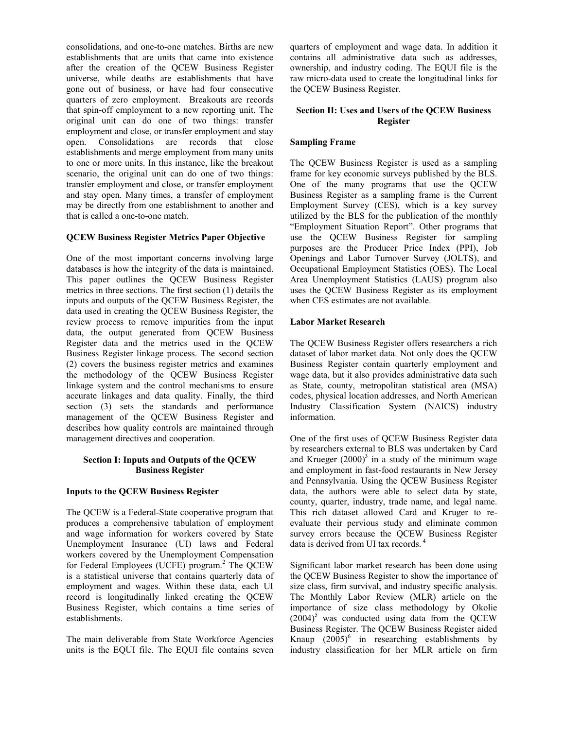consolidations, and one-to-one matches. Births are new establishments that are units that came into existence after the creation of the QCEW Business Register universe, while deaths are establishments that have gone out of business, or have had four consecutive quarters of zero employment. Breakouts are records that spin-off employment to a new reporting unit. The original unit can do one of two things: transfer employment and close, or transfer employment and stay open. Consolidations are records that close establishments and merge employment from many units to one or more units. In this instance, like the breakout scenario, the original unit can do one of two things: transfer employment and close, or transfer employment and stay open. Many times, a transfer of employment may be directly from one establishment to another and that is called a one-to-one match.

## **QCEW Business Register Metrics Paper Objective**

One of the most important concerns involving large databases is how the integrity of the data is maintained. This paper outlines the QCEW Business Register metrics in three sections. The first section (1) details the inputs and outputs of the QCEW Business Register, the data used in creating the QCEW Business Register, the review process to remove impurities from the input data, the output generated from QCEW Business Register data and the metrics used in the QCEW Business Register linkage process. The second section (2) covers the business register metrics and examines the methodology of the QCEW Business Register linkage system and the control mechanisms to ensure accurate linkages and data quality. Finally, the third section (3) sets the standards and performance management of the QCEW Business Register and describes how quality controls are maintained through management directives and cooperation.

## **Section I: Inputs and Outputs of the QCEW Business Register**

#### **Inputs to the QCEW Business Register**

The QCEW is a Federal-State cooperative program that produces a comprehensive tabulation of employment and wage information for workers covered by State Unemployment Insurance (UI) laws and Federal workers covered by the Unemployment Compensation for Federal Employees (UCFE) program.<sup>2</sup> The QCEW is a statistical universe that contains quarterly data of employment and wages. Within these data, each UI record is longitudinally linked creating the QCEW Business Register, which contains a time series of establishments.

The main deliverable from State Workforce Agencies units is the EQUI file. The EQUI file contains seven quarters of employment and wage data. In addition it contains all administrative data such as addresses, ownership, and industry coding. The EQUI file is the raw micro-data used to create the longitudinal links for the QCEW Business Register.

## **Section II: Uses and Users of the QCEW Business Register**

# **Sampling Frame**

The QCEW Business Register is used as a sampling frame for key economic surveys published by the BLS. One of the many programs that use the QCEW Business Register as a sampling frame is the Current Employment Survey (CES), which is a key survey utilized by the BLS for the publication of the monthly "Employment Situation Report". Other programs that use the QCEW Business Register for sampling purposes are the Producer Price Index (PPI), Job Openings and Labor Turnover Survey (JOLTS), and Occupational Employment Statistics (OES). The Local Area Unemployment Statistics (LAUS) program also uses the QCEW Business Register as its employment when CES estimates are not available.

#### **Labor Market Research**

The QCEW Business Register offers researchers a rich dataset of labor market data. Not only does the QCEW Business Register contain quarterly employment and wage data, but it also provides administrative data such as State, county, metropolitan statistical area (MSA) codes, physical location addresses, and North American Industry Classification System (NAICS) industry information.

One of the first uses of QCEW Business Register data by researchers external to BLS was undertaken by Card and Krueger  $(2000)^3$  in a study of the minimum wage and employment in fast-food restaurants in New Jersey and Pennsylvania. Using the QCEW Business Register data, the authors were able to select data by state, county, quarter, industry, trade name, and legal name. This rich dataset allowed Card and Kruger to reevaluate their pervious study and eliminate common survey errors because the QCEW Business Register data is derived from UI tax records.<sup>4</sup>

Significant labor market research has been done using the QCEW Business Register to show the importance of size class, firm survival, and industry specific analysis. The Monthly Labor Review (MLR) article on the importance of size class methodology by Okolie  $(2004)^5$  was conducted using data from the QCEW Business Register. The QCEW Business Register aided Knaup  $(2005)^6$  in researching establishments by industry classification for her MLR article on firm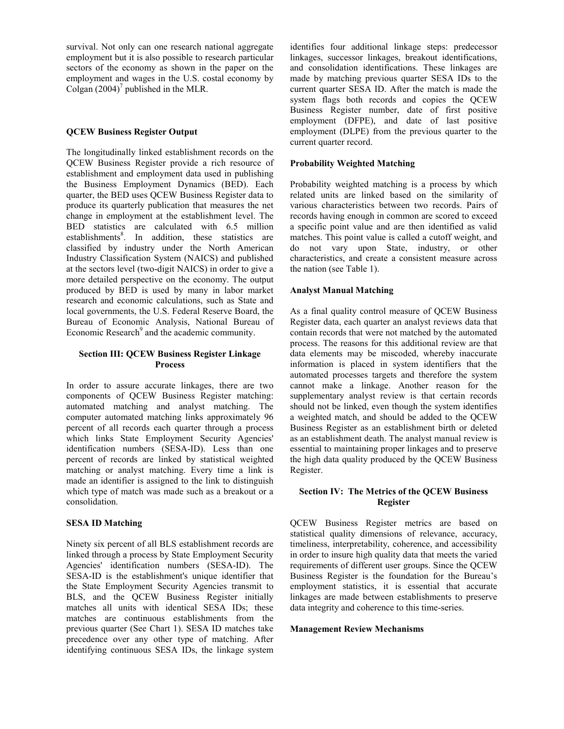survival. Not only can one research national aggregate employment but it is also possible to research particular sectors of the economy as shown in the paper on the employment and wages in the U.S. costal economy by Colgan  $(2004)^7$  published in the MLR.

# **QCEW Business Register Output**

The longitudinally linked establishment records on the QCEW Business Register provide a rich resource of establishment and employment data used in publishing the Business Employment Dynamics (BED). Each quarter, the BED uses QCEW Business Register data to produce its quarterly publication that measures the net change in employment at the establishment level. The BED statistics are calculated with 6.5 million establishments<sup>8</sup>. In addition, these statistics are classified by industry under the North American Industry Classification System (NAICS) and published at the sectors level (two-digit NAICS) in order to give a more detailed perspective on the economy. The output produced by BED is used by many in labor market research and economic calculations, such as State and local governments, the U.S. Federal Reserve Board, the Bureau of Economic Analysis, National Bureau of Economic Research<sup>9</sup> and the academic community.

# **Section III: QCEW Business Register Linkage Process**

In order to assure accurate linkages, there are two components of QCEW Business Register matching: automated matching and analyst matching. The computer automated matching links approximately 96 percent of all records each quarter through a process which links State Employment Security Agencies' identification numbers (SESA-ID). Less than one percent of records are linked by statistical weighted matching or analyst matching. Every time a link is made an identifier is assigned to the link to distinguish which type of match was made such as a breakout or a consolidation.

#### **SESA ID Matching**

Ninety six percent of all BLS establishment records are linked through a process by State Employment Security Agencies' identification numbers (SESA-ID). The SESA-ID is the establishment's unique identifier that the State Employment Security Agencies transmit to BLS, and the QCEW Business Register initially matches all units with identical SESA IDs; these matches are continuous establishments from the previous quarter (See Chart 1). SESA ID matches take precedence over any other type of matching. After identifying continuous SESA IDs, the linkage system identifies four additional linkage steps: predecessor linkages, successor linkages, breakout identifications, and consolidation identifications. These linkages are made by matching previous quarter SESA IDs to the current quarter SESA ID. After the match is made the system flags both records and copies the QCEW Business Register number, date of first positive employment (DFPE), and date of last positive employment (DLPE) from the previous quarter to the current quarter record.

# **Probability Weighted Matching**

Probability weighted matching is a process by which related units are linked based on the similarity of various characteristics between two records. Pairs of records having enough in common are scored to exceed a specific point value and are then identified as valid matches. This point value is called a cutoff weight, and do not vary upon State, industry, or other characteristics, and create a consistent measure across the nation (see Table 1).

## **Analyst Manual Matching**

As a final quality control measure of QCEW Business Register data, each quarter an analyst reviews data that contain records that were not matched by the automated process. The reasons for this additional review are that data elements may be miscoded, whereby inaccurate information is placed in system identifiers that the automated processes targets and therefore the system cannot make a linkage. Another reason for the supplementary analyst review is that certain records should not be linked, even though the system identifies a weighted match, and should be added to the QCEW Business Register as an establishment birth or deleted as an establishment death. The analyst manual review is essential to maintaining proper linkages and to preserve the high data quality produced by the QCEW Business Register.

# **Section IV: The Metrics of the QCEW Business Register**

QCEW Business Register metrics are based on statistical quality dimensions of relevance, accuracy, timeliness, interpretability, coherence, and accessibility in order to insure high quality data that meets the varied requirements of different user groups. Since the QCEW Business Register is the foundation for the Bureau's employment statistics, it is essential that accurate linkages are made between establishments to preserve data integrity and coherence to this time-series.

#### **Management Review Mechanisms**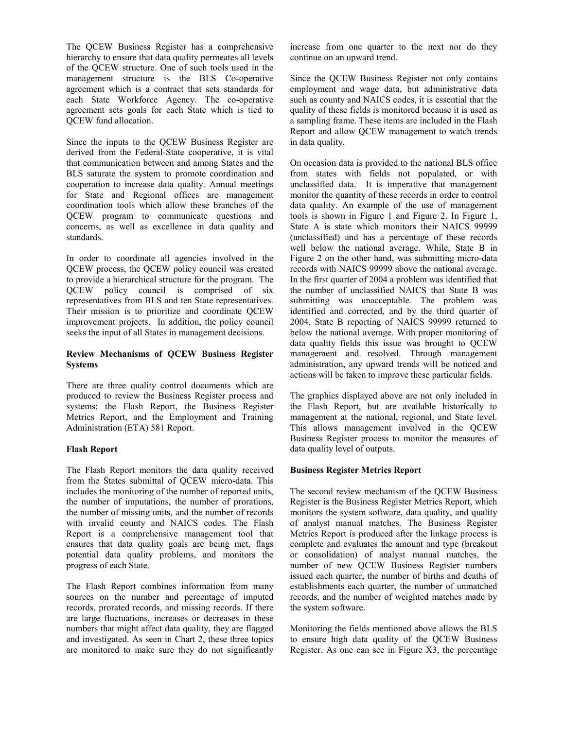The QCEW Business Register has a comprehensive hierarchy to ensure that data quality permeates all levels of the QCEW structure. One of such tools used in the management structure is the BLS Co-operative agreement which is a contract that sets standards for each State Workforce Agency. The co-operative agreement sets goals for each State which is tied to QCEW fund allocation.

Since the inputs to the QCEW Business Register are derived from the Federal-State cooperative, it is vital that communication between and among States and the BLS saturate the system to promote coordination and cooperation to increase data quality. Annual meetings for State and Regional offices are management coordination tools which allow these branches of the QCEW program to communicate questions and concerns, as well as excellence in data quality and standards.

In order to coordinate all agencies involved in the QCEW process, the QCEW policy council was created to provide a hierarchical structure for the program. The QCEW policy council is comprised of six representatives from BLS and ten State representatives. Their mission is to prioritize and coordinate QCEW improvement projects. In addition, the policy council seeks the input of all States in management decisions.

# **Review Mechanisms of QCEW Business Register Systems**

There are three quality control documents which are produced to review the Business Register process and systems: the Flash Report, the Business Register Metrics Report, and the Employment and Training Administration (ETA) 581 Report.

# **Flash Report**

The Flash Report monitors the data quality received from the States submittal of QCEW micro-data. This includes the monitoring of the number of reported units, the number of imputations, the number of prorations, the number of missing units, and the number of records with invalid county and NAICS codes. The Flash Report is a comprehensive management tool that ensures that data quality goals are being met, flags potential data quality problems, and monitors the progress of each State.

The Flash Report combines information from many sources on the number and percentage of imputed records, prorated records, and missing records. If there are large fluctuations, increases or decreases in these numbers that might affect data quality, they are flagged and investigated. As seen in Chart 2, these three topics are monitored to make sure they do not significantly increase from one quarter to the next nor do they continue on an upward trend.

Since the QCEW Business Register not only contains employment and wage data, but administrative data such as county and NAICS codes, it is essential that the quality of these fields is monitored because it is used as a sampling frame. These items are included in the Flash Report and allow QCEW management to watch trends in data quality.

On occasion data is provided to the national BLS office from states with fields not populated, or with unclassified data. It is imperative that management monitor the quantity of these records in order to control data quality. An example of the use of management tools is shown in Figure 1 and Figure 2. In Figure 1, State A is state which monitors their NAICS 99999 (unclassified) and has a percentage of these records well below the national average. While, State B in Figure 2 on the other hand, was submitting micro-data records with NAICS 99999 above the national average. In the first quarter of 2004 a problem was identified that the number of unclassified NAICS that State B was submitting was unacceptable. The problem was identified and corrected, and by the third quarter of 2004, State B reporting of NAICS 99999 returned to below the national average. With proper monitoring of data quality fields this issue was brought to QCEW management and resolved. Through management administration, any upward trends will be noticed and actions will be taken to improve these particular fields.

The graphics displayed above are not only included in the Flash Report, but are available historically to management at the national, regional, and State level. This allows management involved in the QCEW Business Register process to monitor the measures of data quality level of outputs.

# **Business Register Metrics Report**

The second review mechanism of the QCEW Business Register is the Business Register Metrics Report, which monitors the system software, data quality, and quality of analyst manual matches. The Business Register Metrics Report is produced after the linkage process is complete and evaluates the amount and type (breakout or consolidation) of analyst manual matches, the number of new QCEW Business Register numbers issued each quarter, the number of births and deaths of establishments each quarter, the number of unmatched records, and the number of weighted matches made by the system software.

Monitoring the fields mentioned above allows the BLS to ensure high data quality of the QCEW Business Register. As one can see in Figure X3, the percentage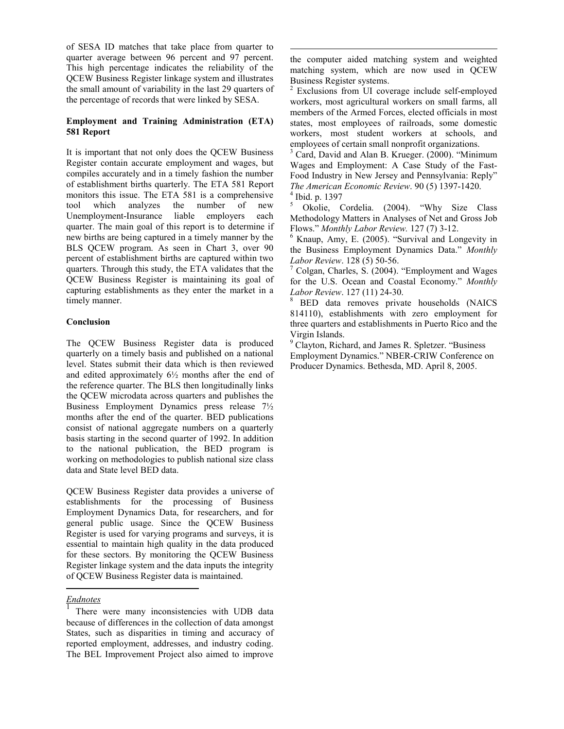of SESA ID matches that take place from quarter to quarter average between 96 percent and 97 percent. This high percentage indicates the reliability of the QCEW Business Register linkage system and illustrates the small amount of variability in the last 29 quarters of the percentage of records that were linked by SESA.

# **Employment and Training Administration (ETA) 581 Report**

It is important that not only does the QCEW Business Register contain accurate employment and wages, but compiles accurately and in a timely fashion the number of establishment births quarterly. The ETA 581 Report monitors this issue. The ETA 581 is a comprehensive tool which analyzes the number of new Unemployment-Insurance liable employers each quarter. The main goal of this report is to determine if new births are being captured in a timely manner by the BLS QCEW program. As seen in Chart 3, over 90 percent of establishment births are captured within two quarters. Through this study, the ETA validates that the QCEW Business Register is maintaining its goal of capturing establishments as they enter the market in a timely manner.

# **Conclusion**

The QCEW Business Register data is produced quarterly on a timely basis and published on a national level. States submit their data which is then reviewed and edited approximately  $6\frac{1}{2}$  months after the end of the reference quarter. The BLS then longitudinally links the QCEW microdata across quarters and publishes the Business Employment Dynamics press release 7½ months after the end of the quarter. BED publications consist of national aggregate numbers on a quarterly basis starting in the second quarter of 1992. In addition to the national publication, the BED program is working on methodologies to publish national size class data and State level BED data.

QCEW Business Register data provides a universe of establishments for the processing of Business Employment Dynamics Data, for researchers, and for general public usage. Since the QCEW Business Register is used for varying programs and surveys, it is essential to maintain high quality in the data produced for these sectors. By monitoring the QCEW Business Register linkage system and the data inputs the integrity of QCEW Business Register data is maintained.

#### *Endnotes*

 $\overline{a}$ 

<sup>1</sup> There were many inconsistencies with UDB data because of differences in the collection of data amongst States, such as disparities in timing and accuracy of reported employment, addresses, and industry coding. The BEL Improvement Project also aimed to improve

 $\overline{a}$ the computer aided matching system and weighted matching system, which are now used in QCEW Business Register systems.

<sup>2</sup> Exclusions from UI coverage include self-employed workers, most agricultural workers on small farms, all members of the Armed Forces, elected officials in most states, most employees of railroads, some domestic workers, most student workers at schools, and employees of certain small nonprofit organizations.

3 Card, David and Alan B. Krueger. (2000). "Minimum Wages and Employment: A Case Study of the Fast-Food Industry in New Jersey and Pennsylvania: Reply" *The American Economic Review*. 90 (5) 1397-1420. 4  $<sup>4</sup>$  Ibid. p. 1397</sup>

5 Okolie, Cordelia. (2004). "Why Size Class Methodology Matters in Analyses of Net and Gross Job Flows." *Monthly Labor Review.* 127 (7) 3-12.

 $6$  Knaup, Amy, E. (2005). "Survival and Longevity in the Business Employment Dynamics Data." *Monthly Labor Review*. 128 (5) 50-56. 7

 Colgan, Charles, S. (2004). "Employment and Wages for the U.S. Ocean and Coastal Economy." *Monthly Labor Review.* 127 (11) 24-30.

 BED data removes private households (NAICS 814110), establishments with zero employment for three quarters and establishments in Puerto Rico and the Virgin Islands.

<sup>9</sup> Clayton, Richard, and James R. Spletzer. "Business Employment Dynamics." NBER-CRIW Conference on Producer Dynamics. Bethesda, MD. April 8, 2005.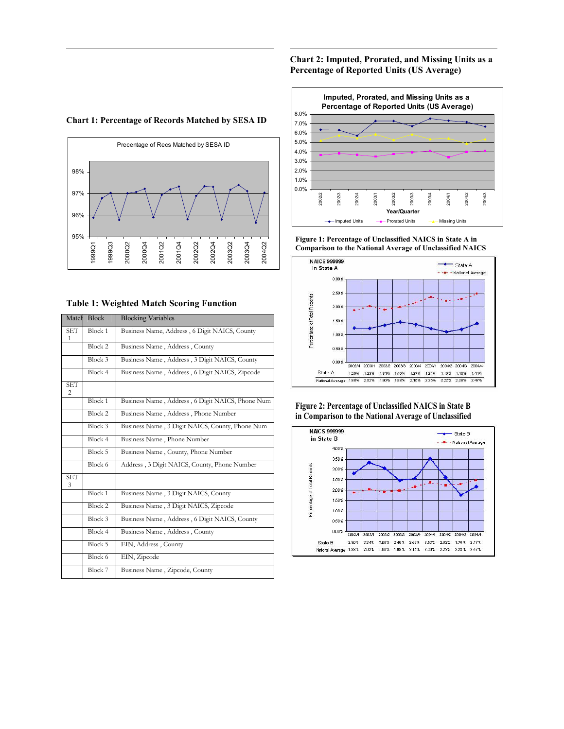# **Chart 2: Imputed, Prorated, and Missing Units as a Percentage of Reported Units (US Average)**

 $\overline{a}$ 

#### Precentage of Recs Matched by SESA ID 95% 96% 97% 98% 1999Q1 1999Q3 2000Q2 2000Q4 2001Q2 2001Q4 2002Q2 2002Q4 2003Q2 2003Q4 2004Q2

**Chart 1: Percentage of Records Matched by SESA ID**

 $\overline{a}$ 

## **Table 1: Weighted Match Scoring Function**

| Match           | <b>Block</b>       | <b>Blocking Variables</b>                        |
|-----------------|--------------------|--------------------------------------------------|
| <b>SET</b><br>1 | Block 1            | Business Name, Address, 6 Digit NAICS, County    |
|                 | Block 2            | Business Name, Address, County                   |
|                 | Block 3            | Business Name, Address, 3 Digit NAICS, County    |
|                 | Block 4            | Business Name, Address, 6 Digit NAICS, Zipcode   |
| <b>SET</b><br>2 |                    |                                                  |
|                 | Block 1            | Business Name, Address, 6 Digit NAICS, Phone Num |
|                 | Block <sub>2</sub> | Business Name, Address, Phone Number             |
|                 | Block 3            | Business Name, 3 Digit NAICS, County, Phone Num  |
|                 | Block 4            | Business Name, Phone Number                      |
|                 | Block 5            | Business Name, County, Phone Number              |
|                 | Block 6            | Address, 3 Digit NAICS, County, Phone Number     |
| <b>SET</b><br>3 |                    |                                                  |
|                 | Block 1            | Business Name, 3 Digit NAICS, County             |
|                 | Block 2            | Business Name, 3 Digit NAICS, Zipcode            |
|                 | Block 3            | Business Name, Address, 6 Digit NAICS, County    |
|                 | Block 4            | Business Name, Address, County                   |
|                 | Block 5            | EIN, Address, County                             |
|                 | Block 6            | EIN, Zipcode                                     |
|                 | Block 7            | Business Name, Zipcode, County                   |



**Figure 1: Percentage of Unclassified NAICS in State A in Comparison to the National Average of Unclassified NAICS**



#### **Figure 2: Percentage of Unclassified NAICS in State B in Comparison to the National Average of Unclassified**